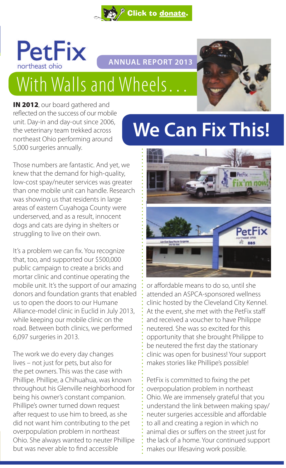



**ANNUAL REPORT 2013**

# With Walls and Wheels…



IN 2012, our board gathered and reflected on the success of our mobile unit. Day-in and day-out since 2006, the veterinary team trekked across northeast Ohio performing around 5,000 surgeries annually.

## Those numbers are fantastic. And yet, we knew that the demand for high-quality, low-cost spay/neuter services was greater than one mobile unit can handle. Research was showing us that residents in large areas of eastern Cuyahoga County were underserved, and as a result, innocent dogs and cats are dying in shelters or struggling to live on their own.

It's a problem we can fix. You recognize that, too, and supported our \$500,000 public campaign to create a bricks and mortar clinic and continue operating the mobile unit. It's the support of our amazing donors and foundation grants that enabled us to open the doors to our Humane Alliance-model clinic in Euclid in July 2013, while keeping our mobile clinic on the road. Between both clinics, we performed 6,097 surgeries in 2013.

The work we do every day changes lives – not just for pets, but also for the pet owners. This was the case with Phillipe. Phillipe, a Chihuahua, was known throughout his Glenville neighborhood for being his owner's constant companion. Phillipe's owner turned down request after request to use him to breed, as she did not want him contributing to the pet overpopulation problem in northeast Ohio. She always wanted to neuter Phillipe but was never able to find accessible

## **We Can Fix This!**



or affordable means to do so, until she attended an ASPCA-sponsored wellness clinic hosted by the Cleveland City Kennel. At the event, she met with the PetFix staff and received a voucher to have Philippe neutered. She was so excited for this opportunity that she brought Philippe to be neutered the first day the stationary clinic was open for business! Your support makes stories like Phillipe's possible!

PetFix is committed to fixing the pet overpopulation problem in northeast Ohio. We are immensely grateful that you understand the link between making spay/ neuter surgeries accessible and affordable to all and creating a region in which no animal dies or suffers on the street just for the lack of a home. Your continued support makes our lifesaving work possible.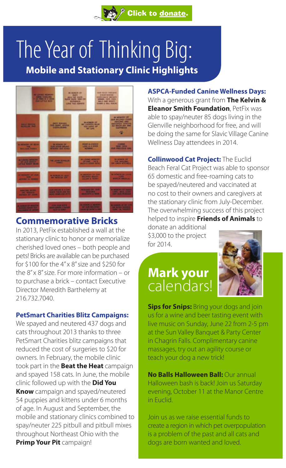## The Year of Thinking Big:  **Mobile and Stationary Clinic Highlights**

[Click to donate.](https://donatenow.networkforgood.org/petfixneo)



## **Commemorative Bricks**

In 2013, PetFix established a wall at the stationary clinic to honor or memorialize cherished loved ones – both people and pets! Bricks are available can be purchased for \$100 for the  $4'' \times 8''$  size and \$250 for the 8" x 8" size. For more information – or to purchase a brick – contact Executive Director Meredith Barthelemy at 216.732.7040.

## **PetSmart Charities Blitz Campaigns:**

We spayed and neutered 437 dogs and cats throughout 2013 thanks to three PetSmart Charities blitz campaigns that reduced the cost of surgeries to \$20 for owners. In February, the mobile clinic took part in the **Beat the Heat** campaign and spayed 158 cats. In June, the mobile clinic followed up with the **Did You Know** campaign and spayed/neutered 54 puppies and kittens under 6 months of age. In August and September, the mobile and stationary clinics combined to spay/neuter 225 pitbull and pitbull mixes throughout Northeast Ohio with the **Primp Your Pit** campaign!

**ASPCA-Funded Canine Wellness Days:**  With a generous grant from **The Kelvin & Eleanor Smith Foundation**, PetFix was able to spay/neuter 85 dogs living in the Glenville neighborhood for free, and will be doing the same for Slavic Village Canine Wellness Day attendees in 2014.

**Collinwood Cat Project:** The Euclid Beach Feral Cat Project was able to sponsor 65 domestic and free-roaming cats to be spayed/neutered and vaccinated at no cost to their owners and caregivers at the stationary clinic from July-December. The overwhelming success of this project helped to inspire **Friends of Animals** to

donate an additional \$3,000 to the project for 2014.

## **Mark your** calendars!



**Sips for Snips:** Bring your dogs and join us for a wine and beer tasting event with live music on Sunday, June 22 from 2-5 pm at the Sun Valley Banquet & Party Center in Chagrin Falls. Complimentary canine massages, try out an agility course or teach your dog a new trick!

**No Balls Halloween Ball:** Our annual Halloween bash is back! Join us Saturday evening, October 11 at the Manor Centre in Euclid.

Join us as we raise essential funds to create a region in which pet overpopulation is a problem of the past and all cats and dogs are born wanted and loved.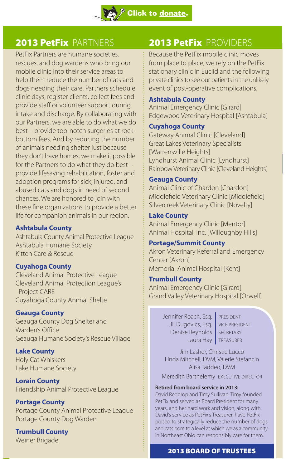## 2013 PetFix PARTNERS

PetFix Partners are humane societies, rescues, and dog wardens who bring our mobile clinic into their service areas to help them reduce the number of cats and dogs needing their care. Partners schedule clinic days, register clients, collect fees and provide staff or volunteer support during intake and discharge. By collaborating with our Partners, we are able to do what we do best – provide top-notch surgeries at rockbottom fees. And by reducing the number of animals needing shelter just because they don't have homes, we make it possible for the Partners to do what they do best – provide lifesaving rehabilitation, foster and adoption programs for sick, injured, and abused cats and dogs in need of second chances. We are honored to join with these fine organizations to provide a better life for companion animals in our region.

## **Ashtabula County**

Ashtabula County Animal Protective League Ashtabula Humane Society Kitten Care & Rescue

## **Cuyahoga County**

Cleveland Animal Protective League Cleveland Animal Protection League's Project CARE Cuyahoga County Animal Shelte

## **Geauga County**

Geauga County Dog Shelter and Warden's Office Geauga Humane Society's Rescue Village

**Lake County** Holy Cat Whiskers Lake Humane Society

**Lorain County** Friendship Animal Protective League

**Portage County** Portage County Animal Protective League Portage County Dog Warden

## **Trumbull County** Weiner Brigade

2013 PetFix PROVIDERS

Because the PetFix mobile clinic moves from place to place, we rely on the PetFix stationary clinic in Euclid and the following private clinics to see our patients in the unlikely event of post-operative complications.

## **Ashtabula County**

Animal Emergency Clinic [Girard] Edgewood Veterinary Hospital [Ashtabula]

## **Cuyahoga County**

Gateway Animal Clinic [Cleveland] Great Lakes Veterinary Specialists [Warrensville Heights] Lyndhurst Animal Clinic [Lyndhurst] Rainbow Veterinary Clinic [Cleveland Heights]

## **Geauga County**

Animal Clinic of Chardon [Chardon] Middlefield Veterinary Clinic [Middlefield] Silvercreek Veterinary Clinic [Novelty]

### **Lake County**

Animal Emergency Clinic [Mentor] Animal Hospital, Inc. [Willoughby Hills]

### **Portage/Summit County**

Akron Veterinary Referral and Emergency Center [Akron] Memorial Animal Hospital [Kent]

## **Trumbull County**

Animal Emergency Clinic [Girard] Grand Valley Veterinary Hospital [Orwell]

> Jennifer Roach, Esq. | PRESIDENT Jill Dugovics, Esq. | VICE PRESIDENT Denise Reynolds | SECRETARY Laura Hay | TREASURER

Jim Lasher, Christie Lucco Linda Mitchell, DVM, Valerie Stefancin Alisa Taddeo, DVM

Meredith Barthelemy EXECUTIVE DIRECTOR

### **Retired from board service in 2013:**

David Reddrop and Timy Sullivan. Timy founded PetFix and served as Board President for many years, and her hard work and vision, along with David's service as PetFix's Treasurer, have PetFix poised to strategically reduce the number of dogs and cats born to a level at which we as a community in Northeast Ohio can responsibly care for them.

## 2013 BOARD OF TRUSTEES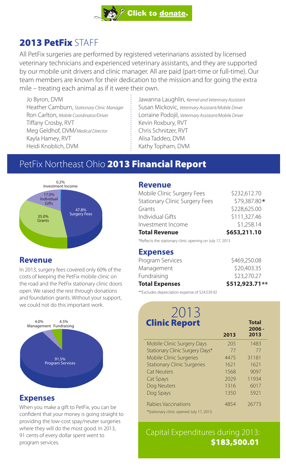## 2013 PetFix STAFF

All PetFix surgeries are performed by registered veterinarians assisted by licensed veterinary technicians and experienced veterinary assistants, and they are supported by our mobile unit drivers and clinic manager. All are paid (part-time or full-time). Our team members are known for their dedication to the mission and for going the extra mile – treating each animal as if it were their own.

Jo Byron, DVM Heather Camburn, *Stationary Clinic Manager*  Ron Carlton, *Mobile Coordinator/Driver* Tiffany Crosby, RVT Meg Geldhof, DVM/*Medical Director* Kayla Hamey, RVT Heidi Knoblich, DVM

Jawanna Laughlin, *Kennel and Veterinary Assistant* Susan Mickovic, *Veterinary Assistant/Mobile Driver* Lorraine Podojil, *Veterinary Assistant/Mobile Driver* Kevin Roxbury, RVT Chris Schnitzer, RVT Alisa Taddeo, DVM Kathy Topham, DVM

## PetFix Northeast Ohio 2013 Financial Report



## **Revenue**

In 2013, surgery fees covered only 60% of the costs of keeping the PetFix mobile clinic on the road and the PetFix stationary clinic doors open. We raised the rest through donations and foundation grants. Without your support, we could not do this important work.



## **Expenses**

When you make a gift to PetFix, you can be confident that your money is going straight to providing the low-cost spay/neuter surgeries where they will do the most good. In 2013, 91 cents of every dollar spent went to program services.

## **Revenue**

| <b>Total Revenue</b>                  | \$653,211.10 |
|---------------------------------------|--------------|
| Investment Income                     | \$1,258.14   |
| Individual Gifts                      | \$111,327.46 |
| Grants                                | \$228,625.00 |
| <b>Stationary Clinic Surgery Fees</b> | \$79.387.80* |
| Mobile Clinic Surgery Fees            | \$232.612.70 |
|                                       |              |

\*Reflects the stationary clinic opening on July 17, 2013

## **Expenses**

| $W = 1$ $W = 1$       |                |
|-----------------------|----------------|
| <b>Total Expenses</b> | \$512,923.71** |
| Fundraising           | \$23,270.27    |
| Management            | \$20,403.35    |
| Program Services      | \$469,250.08   |

\*\*Excludes depreciation expense of \$24,539.92

### 2013  **2006 - 2013** <sup>4.5%</sup> **Clinic Report** Total **2013** Mobile Clinic Surgery Days 205 1483 Stationary Clinic Surgery Days\* 77 77 77 Mobile Clinic Surgeries **4475** 31181 Stationary Clinic Surgeries 1621 1621 Cat Neuters 1568 9097 Cat Spays 2029 11934 Dog Neuters 1316 6017 Dog Spays 1350 5921 Rabies Vaccinations 4854 26773 \*Stationary clinic opened July 17, 2013.

Capital Expenditures during 2013: \$183,500.01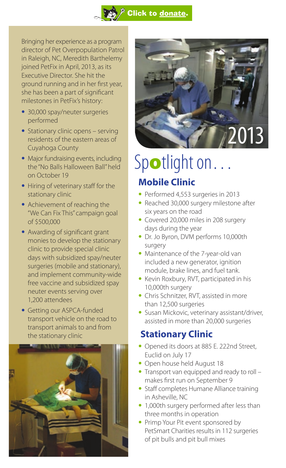

Bringing her experience as a program director of Pet Overpopulation Patrol in Raleigh, NC, Meredith Barthelemy joined PetFix in April, 2013, as its Executive Director. She hit the ground running and in her first year, she has been a part of significant milestones in PetFix's history:

- **•**  30,000 spay/neuter surgeries performed
- **•** Stationary clinic opens serving residents of the eastern areas of Cuyahoga County
- **•** Major fundraising events, including the "No Balls Halloween Ball" held on October 19
- Hiring of veterinary staff for the stationary clinic
- Achievement of reaching the "We Can Fix This" campaign goal of \$500,000
- Awarding of significant grant monies to develop the stationary clinic to provide special clinic days with subsidized spay/neuter surgeries (mobile and stationary), and implement community-wide free vaccine and subsidized spay neuter events serving over 1,200 attendees
- **•** Getting our ASPCA-funded transport vehicle on the road to transport animals to and from the stationary clinic





# Spotlight on...

## **Mobile Clinic**

- **•**  Performed 4,553 surgeries in 2013
- Reached 30,000 surgery milestone after six years on the road
- **•**  Covered 20,000 miles in 208 surgery days during the year
- **•** Dr. Jo Byron, DVM performs 10,000th surgery
- **•** Maintenance of the 7-year-old van included a new generator, ignition module, brake lines, and fuel tank.
- **•**  Kevin Roxbury, RVT, participated in his 10,000th surgery
- **•**  Chris Schnitzer, RVT, assisted in more than 12,500 surgeries
- **•** Susan Mickovic, veterinary assistant/driver, assisted in more than 20,000 surgeries

## **Stationary Clinic**

- **•** Opened its doors at 885 E. 222nd Street, Euclid on July 17
- **•** Open house held August 18
- Transport van equipped and ready to roll makes first run on September 9
- Staff completes Humane Alliance training in Asheville, NC
- 1,000th surgery performed after less than three months in operation
- **•** Primp Your Pit event sponsored by PetSmart Charities results in 112 surgeries of pit bulls and pit bull mixes